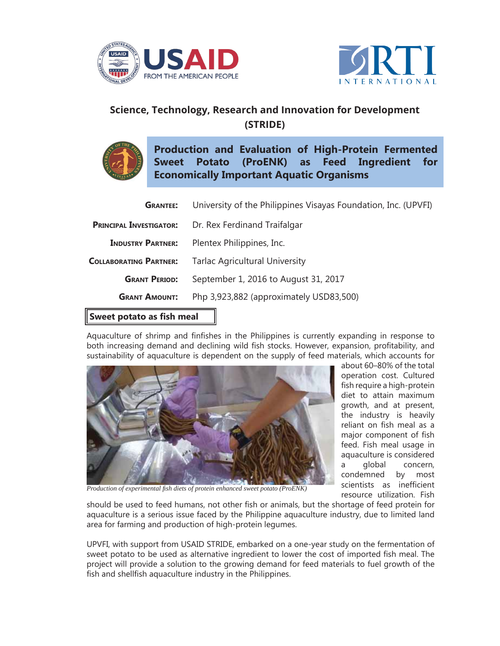



## **Science, Technology, Research and Innovation for Development (STRIDE)**



**Production and Evaluation of High-Protein Fermented Sweet Potato (ProENK) as Feed Ingredient for Economically Important Aquatic Organisms**

| المتحدد والملائك والمستقيمة    |                                                                |
|--------------------------------|----------------------------------------------------------------|
| <b>GRANT AMOUNT:</b>           | Php 3,923,882 (approximately USD83,500)                        |
| <b>GRANT PERIOD:</b>           | September 1, 2016 to August 31, 2017                           |
| <b>COLLABORATING PARTNER:</b>  | <b>Tarlac Agricultural University</b>                          |
| <b>INDUSTRY PARTNER:</b>       | Plentex Philippines, Inc.                                      |
| <b>PRINCIPAL INVESTIGATOR:</b> | Dr. Rex Ferdinand Traifalgar                                   |
| <b>GRANTEE:</b>                | University of the Philippines Visayas Foundation, Inc. (UPVFI) |

## **Sweet potato as fish meal**

Aquaculture of shrimp and finfishes in the Philippines is currently expanding in response to both increasing demand and declining wild fish stocks. However, expansion, profitability, and sustainability of aquaculture is dependent on the supply of feed materials, which accounts for



about 60–80% of the total operation cost. Cultured fish require a high-protein diet to attain maximum growth, and at present, the industry is heavily reliant on fish meal as a major component of fish feed. Fish meal usage in aquaculture is considered a global concern, condemned by most scientists as inefficient resource utilization. Fish

**Production of experimental fish diets of protein enhanced sweet potato (ProENK)** 

should be used to feed humans, not other fish or animals, but the shortage of feed protein for aquaculture is a serious issue faced by the Philippine aquaculture industry, due to limited land area for farming and production of high-protein legumes.

UPVFI, with support from USAID STRIDE, embarked on a one-year study on the fermentation of sweet potato to be used as alternative ingredient to lower the cost of imported fish meal. The project will provide a solution to the growing demand for feed materials to fuel growth of the fish and shellfish aquaculture industry in the Philippines.